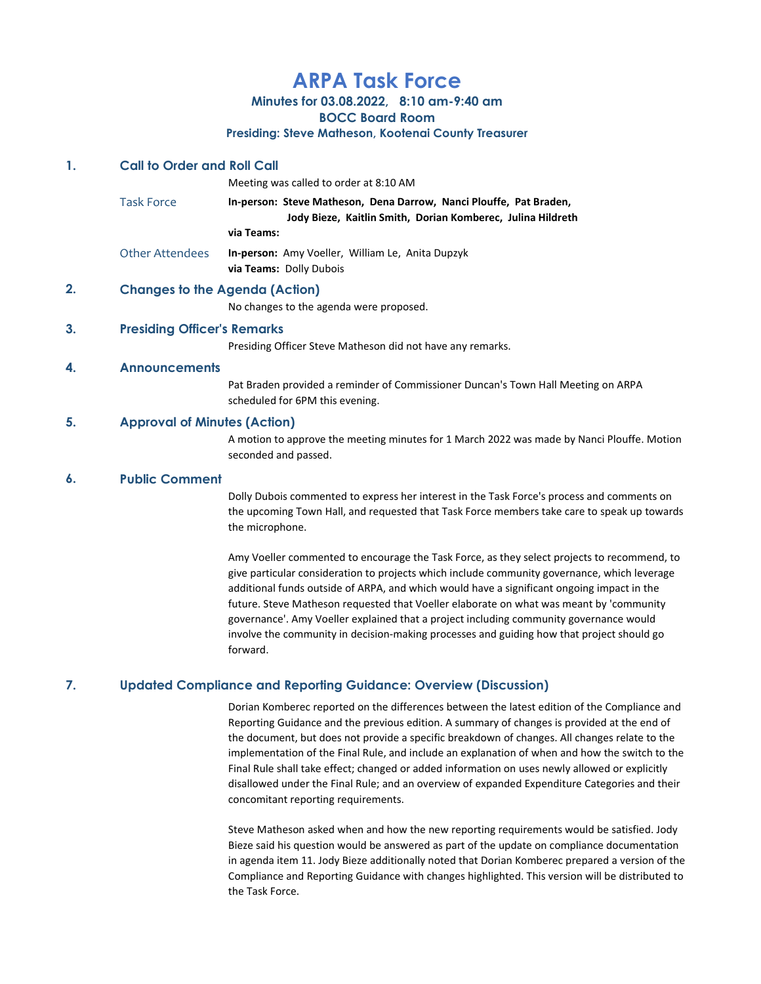# ARPA Task Force

Minutes for 03.08.2022, 8:10 am-9:40 am

BOCC Board Room

#### Presiding: Steve Matheson, Kootenai County Treasurer

## 1. Call to Order and Roll Call

Meeting was called to order at 8:10 AM Task Force **In-person: Steve Matheson, Dena Darrow, Nanci Plouffe, Pat Braden,** 

Jody Bieze, Kaitlin Smith, Dorian Komberec, Julina Hildreth

via Teams:

Other Attendees In-person: Amy Voeller, William Le, Anita Dupzyk via Teams: Dolly Dubois

# 2. Changes to the Agenda (Action)

No changes to the agenda were proposed.

## 3. Presiding Officer's Remarks

Presiding Officer Steve Matheson did not have any remarks.

## 4. Announcements

Pat Braden provided a reminder of Commissioner Duncan's Town Hall Meeting on ARPA scheduled for 6PM this evening.

#### 5. Approval of Minutes (Action)

A motion to approve the meeting minutes for 1 March 2022 was made by Nanci Plouffe. Motion seconded and passed.

### 6. Public Comment

Dolly Dubois commented to express her interest in the Task Force's process and comments on the upcoming Town Hall, and requested that Task Force members take care to speak up towards the microphone.

Amy Voeller commented to encourage the Task Force, as they select projects to recommend, to give particular consideration to projects which include community governance, which leverage additional funds outside of ARPA, and which would have a significant ongoing impact in the future. Steve Matheson requested that Voeller elaborate on what was meant by 'community governance'. Amy Voeller explained that a project including community governance would involve the community in decision-making processes and guiding how that project should go forward.

#### 7. Updated Compliance and Reporting Guidance: Overview (Discussion)

Dorian Komberec reported on the differences between the latest edition of the Compliance and Reporting Guidance and the previous edition. A summary of changes is provided at the end of the document, but does not provide a specific breakdown of changes. All changes relate to the implementation of the Final Rule, and include an explanation of when and how the switch to the Final Rule shall take effect; changed or added information on uses newly allowed or explicitly disallowed under the Final Rule; and an overview of expanded Expenditure Categories and their concomitant reporting requirements.

Steve Matheson asked when and how the new reporting requirements would be satisfied. Jody Bieze said his question would be answered as part of the update on compliance documentation in agenda item 11. Jody Bieze additionally noted that Dorian Komberec prepared a version of the Compliance and Reporting Guidance with changes highlighted. This version will be distributed to the Task Force.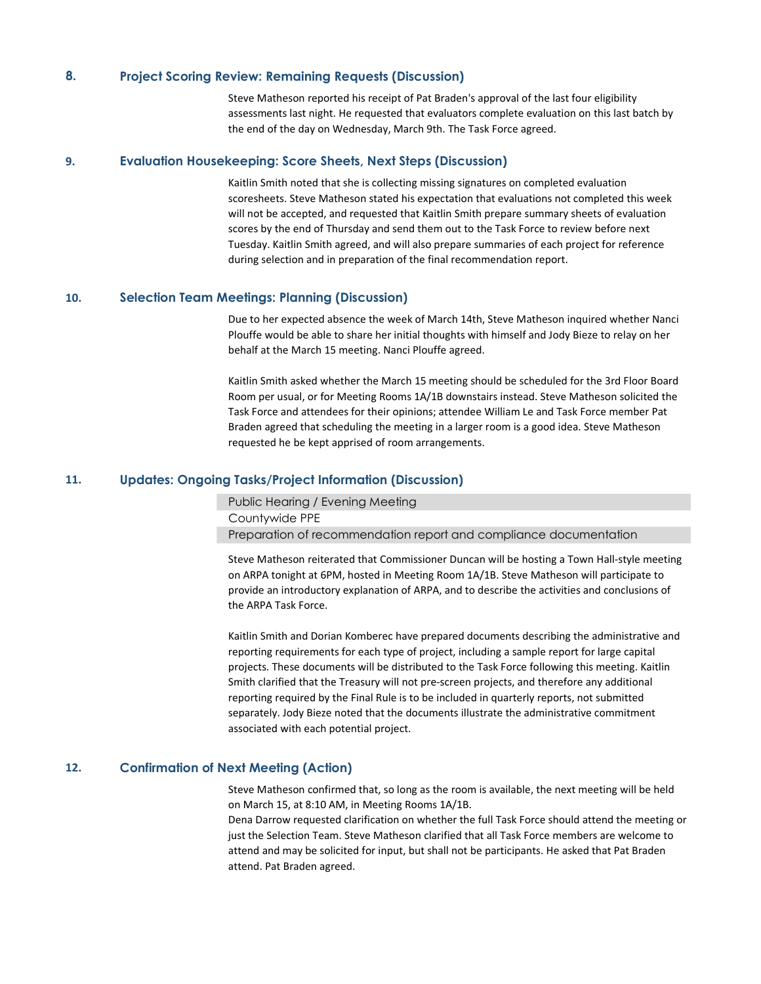#### 8. Project Scoring Review: Remaining Requests (Discussion)

Steve Matheson reported his receipt of Pat Braden's approval of the last four eligibility assessments last night. He requested that evaluators complete evaluation on this last batch by the end of the day on Wednesday, March 9th. The Task Force agreed.

#### 9. Evaluation Housekeeping: Score Sheets, Next Steps (Discussion)

Kaitlin Smith noted that she is collecting missing signatures on completed evaluation scoresheets. Steve Matheson stated his expectation that evaluations not completed this week will not be accepted, and requested that Kaitlin Smith prepare summary sheets of evaluation scores by the end of Thursday and send them out to the Task Force to review before next Tuesday. Kaitlin Smith agreed, and will also prepare summaries of each project for reference during selection and in preparation of the final recommendation report.

#### 10. Selection Team Meetings: Planning (Discussion)

Due to her expected absence the week of March 14th, Steve Matheson inquired whether Nanci Plouffe would be able to share her initial thoughts with himself and Jody Bieze to relay on her behalf at the March 15 meeting. Nanci Plouffe agreed.

Kaitlin Smith asked whether the March 15 meeting should be scheduled for the 3rd Floor Board Room per usual, or for Meeting Rooms 1A/1B downstairs instead. Steve Matheson solicited the Task Force and attendees for their opinions; attendee William Le and Task Force member Pat Braden agreed that scheduling the meeting in a larger room is a good idea. Steve Matheson requested he be kept apprised of room arrangements.

#### 11. Updates: Ongoing Tasks/Project Information (Discussion)

Public Hearing / Evening Meeting

Countywide PPE

Preparation of recommendation report and compliance documentation

Steve Matheson reiterated that Commissioner Duncan will be hosting a Town Hall-style meeting on ARPA tonight at 6PM, hosted in Meeting Room 1A/1B. Steve Matheson will participate to provide an introductory explanation of ARPA, and to describe the activities and conclusions of the ARPA Task Force.

Kaitlin Smith and Dorian Komberec have prepared documents describing the administrative and reporting requirements for each type of project, including a sample report for large capital projects. These documents will be distributed to the Task Force following this meeting. Kaitlin Smith clarified that the Treasury will not pre-screen projects, and therefore any additional reporting required by the Final Rule is to be included in quarterly reports, not submitted separately. Jody Bieze noted that the documents illustrate the administrative commitment associated with each potential project.

## 12. Confirmation of Next Meeting (Action)

Steve Matheson confirmed that, so long as the room is available, the next meeting will be held on March 15, at 8:10 AM, in Meeting Rooms 1A/1B.

Dena Darrow requested clarification on whether the full Task Force should attend the meeting or just the Selection Team. Steve Matheson clarified that all Task Force members are welcome to attend and may be solicited for input, but shall not be participants. He asked that Pat Braden attend. Pat Braden agreed.